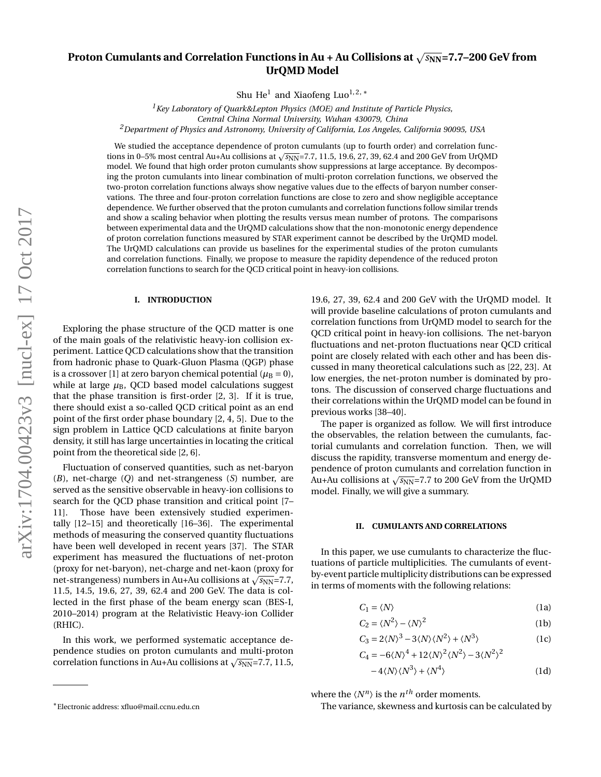# Proton Cumulants and Correlation Functions in Au + Au Collisions at  $\sqrt{s_\mathrm{NN}}$ =7.7–200 GeV from **UrQMD Model**

Shu He<sup>1</sup> and Xiaofeng Luo<sup>1,2,\*</sup>

*<sup>1</sup>Key Laboratory of Quark&Lepton Physics (MOE) and Institute of Particle Physics, Central China Normal University, Wuhan 430079, China <sup>2</sup>Department of Physics and Astronomy, University of California, Los Angeles, California 90095, USA*

We studied the acceptance dependence of proton cumulants (up to fourth order) and correlation funcwe studied the acceptance dependence of proton cumulants (up to fourth order) and correlation functions in 0–5% most central Au+Au collisions at  $\sqrt{s_{NN}}$ =7.7, 11.5, 19.6, 27, 39, 62.4 and 200 GeV from UrQMD model. We found that high order proton cumulants show suppressions at large acceptance. By decomposing the proton cumulants into linear combination of multi-proton correlation functions, we observed the two-proton correlation functions always show negative values due to the effects of baryon number conservations. The three and four-proton correlation functions are close to zero and show negligible acceptance dependence. We further observed that the proton cumulants and correlation functions follow similar trends and show a scaling behavior when plotting the results versus mean number of protons. The comparisons between experimental data and the UrQMD calculations show that the non-monotonic energy dependence of proton correlation functions measured by STAR experiment cannot be described by the UrQMD model. The UrQMD calculations can provide us baselines for the experimental studies of the proton cumulants and correlation functions. Finally, we propose to measure the rapidity dependence of the reduced proton correlation functions to search for the QCD critical point in heavy-ion collisions.

### **I. INTRODUCTION**

Exploring the phase structure of the QCD matter is one of the main goals of the relativistic heavy-ion collision experiment. Lattice QCD calculations show that the transition from hadronic phase to Quark-Gluon Plasma (QGP) phase is a crossover [\[1\]](#page-7-0) at zero baryon chemical potential  $(\mu_B = 0)$ , while at large  $\mu_B$ , OCD based model calculations suggest that the phase transition is first-order [\[2,](#page-7-1) [3\]](#page-7-2). If it is true, there should exist a so-called QCD critical point as an end point of the first order phase boundary [\[2,](#page-7-1) [4,](#page-7-3) [5\]](#page-7-4). Due to the sign problem in Lattice QCD calculations at finite baryon density, it still has large uncertainties in locating the critical point from the theoretical side [\[2,](#page-7-1) [6\]](#page-7-5).

Fluctuation of conserved quantities, such as net-baryon (*B*), net-charge (*Q*) and net-strangeness (*S*) number, are served as the sensitive observable in heavy-ion collisions to search for the QCD phase transition and critical point [\[7–](#page-7-6) [11\]](#page-7-7). Those have been extensively studied experimentally [\[12–](#page-7-8)[15\]](#page-7-9) and theoretically [\[16–](#page-7-10)[36\]](#page-7-11). The experimental methods of measuring the conserved quantity fluctuations have been well developed in recent years [\[37\]](#page-7-12). The STAR experiment has measured the fluctuations of net-proton (proxy for net-baryon), net-charge and net-kaon (proxy for (proxy for net-baryon), net-cnarge and net-kaon (proxy for<br>net-strangeness) numbers in Au+Au collisions at  $\sqrt{s_{NN}}$ =7.7, 11.5, 14.5, 19.6, 27, 39, 62.4 and 200 GeV. The data is collected in the first phase of the beam energy scan (BES-I, 2010–2014) program at the Relativistic Heavy-ion Collider (RHIC).

In this work, we performed systematic acceptance dependence studies on proton cumulants and multi-proton pendence studies on proton cumulants and multi-proton<br>correlation functions in Au+Au collisions at  $\sqrt{s_{NN}}$ =7.7, 11.5,

19.6, 27, 39, 62.4 and 200 GeV with the UrQMD model. It will provide baseline calculations of proton cumulants and correlation functions from UrQMD model to search for the QCD critical point in heavy-ion collisions. The net-baryon fluctuations and net-proton fluctuations near QCD critical point are closely related with each other and has been discussed in many theoretical calculations such as [\[22,](#page-7-13) [23\]](#page-7-14). At low energies, the net-proton number is dominated by protons. The discussion of conserved charge fluctuations and their correlations within the UrQMD model can be found in previous works [\[38](#page-7-15)[–40\]](#page-7-16).

The paper is organized as follow. We will first introduce the observables, the relation between the cumulants, factorial cumulants and correlation function. Then, we will discuss the rapidity, transverse momentum and energy dependence of proton cumulants and correlation function in pendence or proton cumulants and correlation function in<br>Au+Au collisions at  $\sqrt{s_\mathrm{NN}}$ =7.7 to 200 GeV from the UrQMD model. Finally, we will give a summary.

#### **II. CUMULANTS AND CORRELATIONS**

In this paper, we use cumulants to characterize the fluctuations of particle multiplicities. The cumulants of eventby-event particle multiplicity distributions can be expressed in terms of moments with the following relations:

$$
C_1 = \langle N \rangle \tag{1a}
$$

$$
C_2 = \langle N^2 \rangle - \langle N \rangle^2 \tag{1b}
$$

$$
C_3 = 2\langle N \rangle^3 - 3\langle N \rangle \langle N^2 \rangle + \langle N^3 \rangle \tag{1c}
$$

$$
C_4 = -6\langle N \rangle^4 + 12 \langle N \rangle^2 \langle N^2 \rangle - 3 \langle N^2 \rangle^2
$$

$$
-4\langle N\rangle\langle N^3\rangle + \langle N^4\rangle \tag{1d}
$$

where the  $\langle N^n \rangle$  is the  $n^{th}$  order moments.

The variance, skewness and kurtosis can be calculated by

<span id="page-0-0"></span><sup>∗</sup>Electronic address: [xfluo@mail.ccnu.edu.cn](mailto:xfluo@mail.ccnu.edu.cn)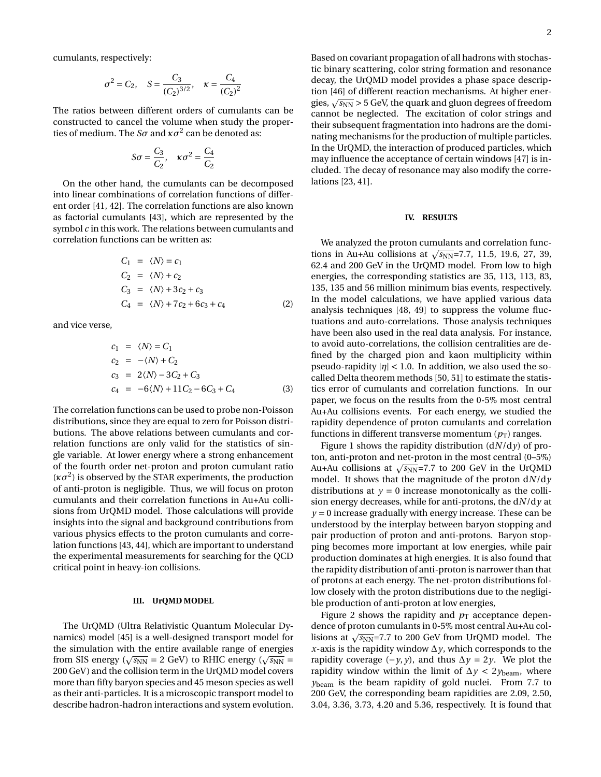cumulants, respectively:

$$
\sigma^2 = C_2
$$
,  $S = \frac{C_3}{(C_2)^{3/2}}$ ,  $\kappa = \frac{C_4}{(C_2)^2}$ 

The ratios between different orders of cumulants can be constructed to cancel the volume when study the properties of medium. The  $S\sigma$  and  $\kappa\sigma^2$  can be denoted as:

$$
S\sigma = \frac{C_3}{C_2}, \quad \kappa \sigma^2 = \frac{C_4}{C_2}
$$

On the other hand, the cumulants can be decomposed into linear combinations of correlation functions of different order [\[41,](#page-7-17) [42\]](#page-7-18). The correlation functions are also known as factorial cumulants [\[43\]](#page-7-19), which are represented by the symbol *c* in this work. The relations between cumulants and correlation functions can be written as:

<span id="page-1-1"></span>
$$
C_1 = \langle N \rangle = c_1
$$
  
\n
$$
C_2 = \langle N \rangle + c_2
$$
  
\n
$$
C_3 = \langle N \rangle + 3c_2 + c_3
$$
  
\n
$$
C_4 = \langle N \rangle + 7c_2 + 6c_3 + c_4
$$
\n(2)

and vice verse,

<span id="page-1-0"></span>
$$
c_1 = \langle N \rangle = C_1
$$
  
\n
$$
c_2 = -\langle N \rangle + C_2
$$
  
\n
$$
c_3 = 2\langle N \rangle - 3C_2 + C_3
$$
  
\n
$$
c_4 = -6\langle N \rangle + 11C_2 - 6C_3 + C_4
$$
\n(3)

The correlation functions can be used to probe non-Poisson distributions, since they are equal to zero for Poisson distributions. The above relations between cumulants and correlation functions are only valid for the statistics of single variable. At lower energy where a strong enhancement of the fourth order net-proton and proton cumulant ratio  $(\kappa \sigma^2)$  is observed by the STAR experiments, the production of anti-proton is negligible. Thus, we will focus on proton cumulants and their correlation functions in Au+Au collisions from UrQMD model. Those calculations will provide insights into the signal and background contributions from various physics effects to the proton cumulants and correlation functions [\[43,](#page-7-19) [44\]](#page-7-20), which are important to understand the experimental measurements for searching for the QCD critical point in heavy-ion collisions.

# **III. UrQMD MODEL**

The UrQMD (Ultra Relativistic Quantum Molecular Dynamics) model [\[45\]](#page-7-21) is a well-designed transport model for the simulation with the entire available range of energies the simulation with the entire available range of energies<br>from SIS energy ( $\sqrt{s_{NN}}$  = 2 GeV) to RHIC energy ( $\sqrt{s_{NN}}$  = 200 GeV) and the collision term in the UrQMD model covers more than fifty baryon species and 45 meson species as well as their anti-particles. It is a microscopic transport model to describe hadron-hadron interactions and system evolution.

Based on covariant propagation of all hadrons with stochastic binary scattering, color string formation and resonance decay, the UrQMD model provides a phase space description [\[46\]](#page-7-22) of different reaction mechanisms. At higher ener- $\frac{146}{100}$  of different reaction mechanisms. At higher energies,  $\sqrt{s_\mathrm{NN}}$  > 5 GeV, the quark and gluon degrees of freedom cannot be neglected. The excitation of color strings and their subsequent fragmentation into hadrons are the dominating mechanisms for the production of multiple particles. In the UrOMD, the interaction of produced particles, which may influence the acceptance of certain windows [\[47\]](#page-7-23) is included. The decay of resonance may also modify the correlations [\[23,](#page-7-14) [41\]](#page-7-17).

# **IV. RESULTS**

We analyzed the proton cumulants and correlation funcwe analyzed the proton cumulants and correlation functions in Au+Au collisions at  $\sqrt{s_{NN}}$ =7.7, 11.5, 19.6, 27, 39, 62.4 and 200 GeV in the UrQMD model. From low to high energies, the corresponding statistics are 35, 113, 113, 83, 135, 135 and 56 million minimum bias events, respectively. In the model calculations, we have applied various data analysis techniques [\[48,](#page-7-24) [49\]](#page-7-25) to suppress the volume fluctuations and auto-correlations. Those analysis techniques have been also used in the real data analysis. For instance, to avoid auto-correlations, the collision centralities are defined by the charged pion and kaon multiplicity within pseudo-rapidity  $|\eta|$  < 1.0. In addition, we also used the socalled Delta theorem methods [\[50,](#page-7-26) [51\]](#page-7-27) to estimate the statistics error of cumulants and correlation functions. In our paper, we focus on the results from the 0-5% most central Au+Au collisions events. For each energy, we studied the rapidity dependence of proton cumulants and correlation functions in different transverse momentum  $(p_T)$  ranges.

Figure [1](#page-2-0) shows the rapidity distribution (d*N*/d*y*) of proton, anti-proton and net-proton in the most central (0–5%) ton, anu-proton and net-proton in the most central  $(0-5\%)$ <br>Au+Au collisions at  $\sqrt{s_{NN}}$ =7.7 to 200 GeV in the UrQMD model. It shows that the magnitude of the proton d*N*/d*y* distributions at  $y = 0$  increase monotonically as the collision energy decreases, while for anti-protons, the d*N*/d*y* at  $y = 0$  increase gradually with energy increase. These can be understood by the interplay between baryon stopping and pair production of proton and anti-protons. Baryon stopping becomes more important at low energies, while pair production dominates at high energies. It is also found that the rapidity distribution of anti-proton is narrower than that of protons at each energy. The net-proton distributions follow closely with the proton distributions due to the negligible production of anti-proton at low energies,

Figure [2](#page-2-1) shows the rapidity and  $p_T$  acceptance dependence of proton cumulants in 0-5% most central Au+Au coldence of proton cumulants in 0-5% most central Au+Au collisions at  $\sqrt{s_\text{NN}}$ =7.7 to 200 GeV from UrQMD model. The *x*-axis is the rapidity window ∆*y*, which corresponds to the rapidity coverage  $(-y, y)$ , and thus  $\Delta y = 2y$ . We plot the rapidity window within the limit of  $\Delta y < 2y_{\text{beam}}$ , where *y*beam is the beam rapidity of gold nuclei. From 7.7 to 200 GeV, the corresponding beam rapidities are 2.09, 2.50, 3.04, 3.36, 3.73, 4.20 and 5.36, respectively. It is found that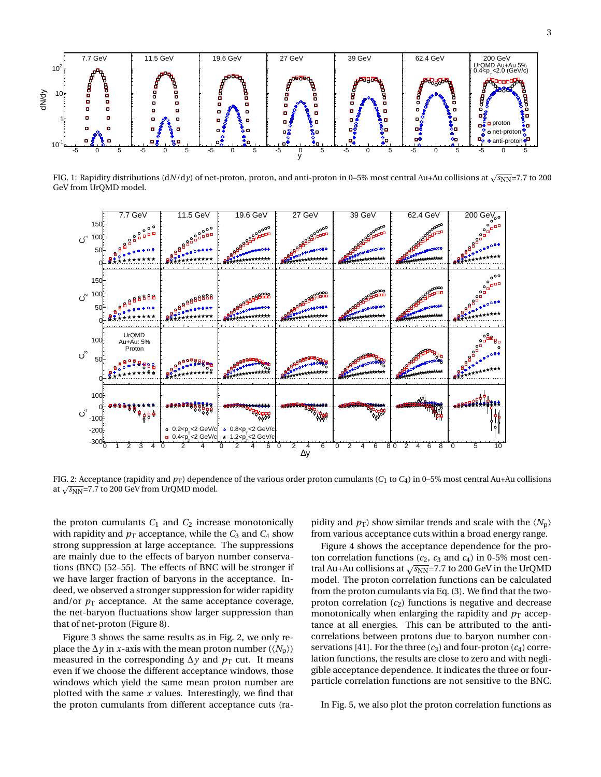<span id="page-2-0"></span>

FIG. 1: Rapidity distributions (d $N$ /d*y*) of net-proton, proton, and anti-proton in 0–5% most central Au+Au collisions at  $\sqrt{s_\mathrm{NN}}$ =7.7 to 200 GeV from UrQMD model.

<span id="page-2-1"></span>

FIG. 2: Acceptance (rapidity and  $p_T$ ) dependence of the various order proton cumulants ( $C_1$  to  $C_4$ ) in 0–5% most central Au+Au collisions  $F$ 1G. 2: Acceptance (rapidity and  $p_{\rm T}$ ) dependent  $\sqrt{s_{\rm NN}}$ =7.7 to 200 GeV from UrQMD model.

the proton cumulants  $C_1$  and  $C_2$  increase monotonically with rapidity and  $p_T$  acceptance, while the  $C_3$  and  $C_4$  show strong suppression at large acceptance. The suppressions are mainly due to the effects of baryon number conservations (BNC) [\[52–](#page-7-28)[55\]](#page-7-29). The effects of BNC will be stronger if we have larger fraction of baryons in the acceptance. Indeed, we observed a stronger suppression for wider rapidity and/or  $p_T$  acceptance. At the same acceptance coverage, the net-baryon fluctuations show larger suppression than that of net-proton [\(Figure 8\)](#page-6-0).

Figure [3](#page-3-0) shows the same results as in Fig. [2,](#page-2-1) we only replace the  $\Delta y$  in *x*-axis with the mean proton number ( $\langle N_n \rangle$ ) measured in the corresponding  $\Delta y$  and  $p_T$  cut. It means even if we choose the different acceptance windows, those windows which yield the same mean proton number are plotted with the same *x* values. Interestingly, we find that the proton cumulants from different acceptance cuts (rapidity and  $p_T$ ) show similar trends and scale with the  $\langle N_p \rangle$ from various acceptance cuts within a broad energy range.

Figure [4](#page-3-1) shows the acceptance dependence for the proton correlation functions  $(c_2, c_3 \text{ and } c_4)$  in 0-5% most centon correlation functions  $(c_2, c_3$  and  $c_4$ ) in 0-5% most central Au+Au collisions at  $\sqrt{s_\text{NN}}$ =7.7 to 200 GeV in the UrQMD model. The proton correlation functions can be calculated from the proton cumulants via Eq. [\(3\)](#page-1-0). We find that the twoproton correlation  $(c_2)$  functions is negative and decrease monotonically when enlarging the rapidity and  $p_T$  acceptance at all energies. This can be attributed to the anticorrelations between protons due to baryon number con-servations [\[41\]](#page-7-17). For the three  $(c_3)$  and four-proton  $(c_4)$  correlation functions, the results are close to zero and with negligible acceptance dependence. It indicates the three or fourparticle correlation functions are not sensitive to the BNC.

In Fig. [5,](#page-4-0) we also plot the proton correlation functions as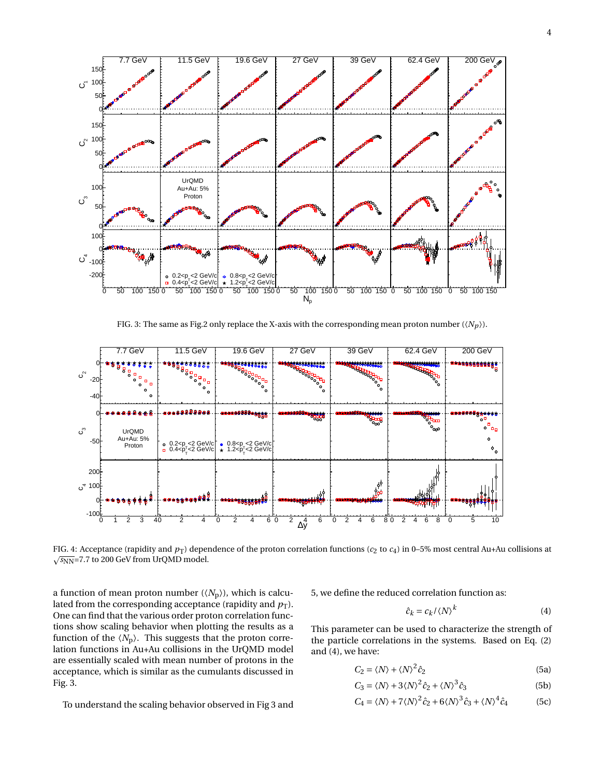<span id="page-3-0"></span>

FIG. 3: The same as Fig[.2](#page-2-1) only replace the X-axis with the corresponding mean proton number ( $\langle N_p \rangle$ ).

<span id="page-3-1"></span>

FIG. 4: Acceptance (rapidity and  $p_T$ ) dependence of the proton correlation functions ( $c_2$  to  $c_4$ ) in 0–5% most central Au+Au collisions at  $\sqrt{s_{\rm NN}}$ =7.7 to 200 GeV from UrQMD model.

a function of mean proton number (〈*N*p〉), which is calculated from the corresponding acceptance (rapidity and  $p_T$ ). One can find that the various order proton correlation functions show scaling behavior when plotting the results as a function of the  $\langle N_p \rangle$ . This suggests that the proton correlation functions in Au+Au collisions in the UrQMD model are essentially scaled with mean number of protons in the acceptance, which is similar as the cumulants discussed in Fig. [3.](#page-3-0)

To understand the scaling behavior observed in Fig [3](#page-3-0) and

[5,](#page-4-0) we define the reduced correlation function as:

<span id="page-3-4"></span><span id="page-3-3"></span><span id="page-3-2"></span>
$$
\hat{c}_k = c_k / \langle N \rangle^k \tag{4}
$$

This parameter can be used to characterize the strength of the particle correlations in the systems. Based on Eq. [\(2\)](#page-1-1) and [\(4\)](#page-3-2), we have:

$$
C_2 = \langle N \rangle + \langle N \rangle^2 \hat{c}_2 \tag{5a}
$$

$$
C_3 = \langle N \rangle + 3 \langle N \rangle^2 \hat{c}_2 + \langle N \rangle^3 \hat{c}_3 \tag{5b}
$$

$$
C_4 = \langle N \rangle + 7 \langle N \rangle^2 \hat{c}_2 + 6 \langle N \rangle^3 \hat{c}_3 + \langle N \rangle^4 \hat{c}_4 \tag{5c}
$$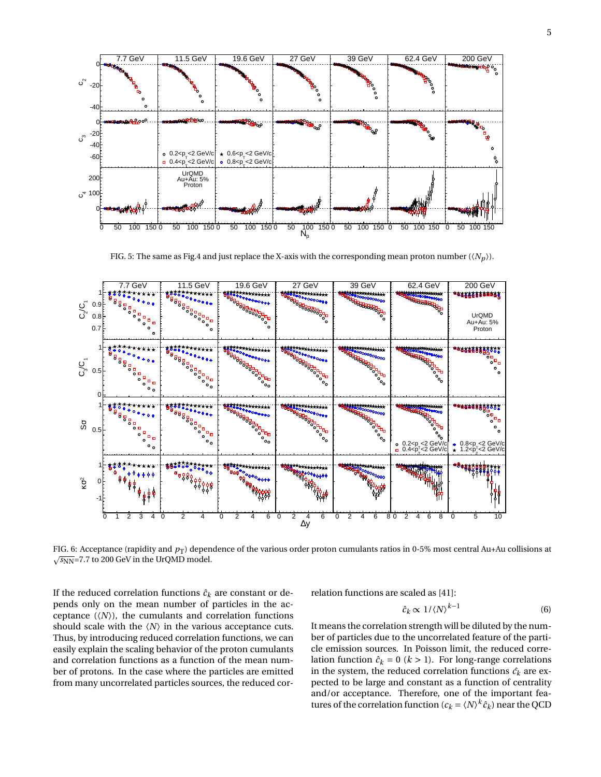<span id="page-4-0"></span>

FIG. 5: The same as Fig[.4](#page-3-1) and just replace the X-axis with the corresponding mean proton number ( $\langle N_p \rangle$ ).

<span id="page-4-1"></span>

FIG. 6: Acceptance (rapidity and *p*<sub>T</sub>) dependence of the various order proton cumulants ratios in 0-5% most central Au+Au collisions at  $\sqrt{s_{NN}}$ =7.7 to 200 GeV in the UrQMD model.

If the reduced correlation functions  $\hat{c}_k$  are constant or depends only on the mean number of particles in the acceptance  $(\langle N \rangle)$ , the cumulants and correlation functions should scale with the  $\langle N \rangle$  in the various acceptance cuts. Thus, by introducing reduced correlation functions, we can easily explain the scaling behavior of the proton cumulants and correlation functions as a function of the mean number of protons. In the case where the particles are emitted from many uncorrelated particles sources, the reduced correlation functions are scaled as [\[41\]](#page-7-17):

$$
\hat{c}_k \propto 1/\langle N \rangle^{k-1} \tag{6}
$$

It means the correlation strength will be diluted by the number of particles due to the uncorrelated feature of the particle emission sources. In Poisson limit, the reduced correlation function  $\hat{c}_k = 0$  ( $k > 1$ ). For long-range correlations in the system, the reduced correlation functions  $\hat{c}_k$  are expected to be large and constant as a function of centrality and/or acceptance. Therefore, one of the important features of the correlation function ( $c_k = \langle N \rangle^k \hat{c}_k$ ) near the QCD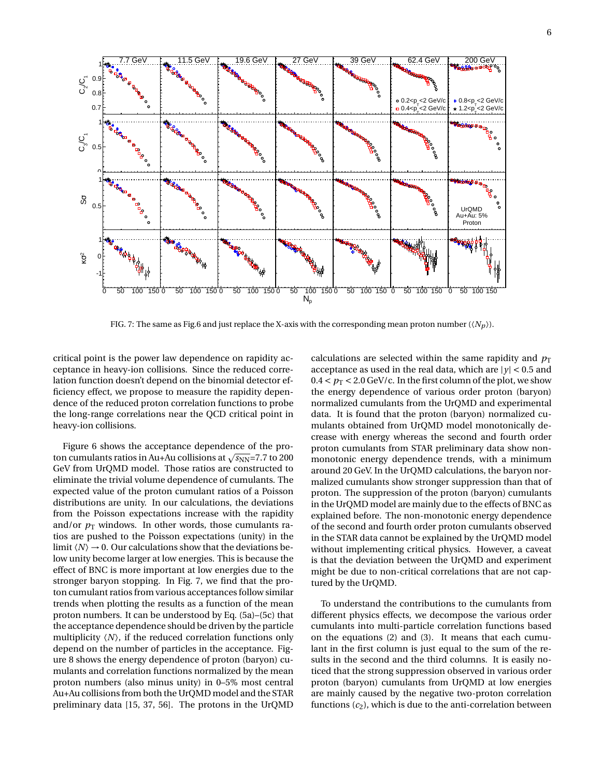6

<span id="page-5-0"></span>

FIG. 7: The same as Fig[.6](#page-4-1) and just replace the X-axis with the corresponding mean proton number  $(\langle N_p \rangle)$ .

critical point is the power law dependence on rapidity acceptance in heavy-ion collisions. Since the reduced correlation function doesn't depend on the binomial detector efficiency effect, we propose to measure the rapidity dependence of the reduced proton correlation functions to probe the long-range correlations near the QCD critical point in heavy-ion collisions.

Figure [6](#page-4-1) shows the acceptance dependence of the pro-Figure 6 shows the acceptance dependence of the proton cumulants ratios in Au+Au collisions at  $\sqrt{s_{NN}}$ =7.7 to 200 GeV from UrQMD model. Those ratios are constructed to eliminate the trivial volume dependence of cumulants. The expected value of the proton cumulant ratios of a Poisson distributions are unity. In our calculations, the deviations from the Poisson expectations increase with the rapidity and/or  $p_T$  windows. In other words, those cumulants ratios are pushed to the Poisson expectations (unity) in the limit  $\langle N \rangle \rightarrow 0$ . Our calculations show that the deviations below unity become larger at low energies. This is because the effect of BNC is more important at low energies due to the stronger baryon stopping. In Fig. [7,](#page-5-0) we find that the proton cumulant ratios from various acceptances follow similar trends when plotting the results as a function of the mean proton numbers. It can be understood by Eq. [\(5a\)](#page-3-3)–[\(5c\)](#page-3-4) that the acceptance dependence should be driven by the particle multiplicity  $\langle N \rangle$ , if the reduced correlation functions only depend on the number of particles in the acceptance. Figure [8](#page-6-0) shows the energy dependence of proton (baryon) cumulants and correlation functions normalized by the mean proton numbers (also minus unity) in 0–5% most central Au+Au collisions from both the UrQMD model and the STAR preliminary data [\[15,](#page-7-9) [37,](#page-7-12) [56\]](#page-8-0). The protons in the UrQMD

calculations are selected within the same rapidity and  $p<sub>T</sub>$ acceptance as used in the real data, which are  $|y|$  < 0.5 and  $0.4 < p_T < 2.0$  GeV/c. In the first column of the plot, we show the energy dependence of various order proton (baryon) normalized cumulants from the UrQMD and experimental data. It is found that the proton (baryon) normalized cumulants obtained from UrQMD model monotonically decrease with energy whereas the second and fourth order proton cumulants from STAR preliminary data show nonmonotonic energy dependence trends, with a minimum around 20 GeV. In the UrQMD calculations, the baryon normalized cumulants show stronger suppression than that of proton. The suppression of the proton (baryon) cumulants in the UrQMD model are mainly due to the effects of BNC as explained before. The non-monotonic energy dependence of the second and fourth order proton cumulants observed in the STAR data cannot be explained by the UrQMD model without implementing critical physics. However, a caveat is that the deviation between the UrQMD and experiment might be due to non-critical correlations that are not captured by the UrQMD.

To understand the contributions to the cumulants from different physics effects, we decompose the various order cumulants into multi-particle correlation functions based on the equations [\(2\)](#page-1-1) and [\(3\)](#page-1-0). It means that each cumulant in the first column is just equal to the sum of the results in the second and the third columns. It is easily noticed that the strong suppression observed in various order proton (baryon) cumulants from UrQMD at low energies are mainly caused by the negative two-proton correlation functions  $(c_2)$ , which is due to the anti-correlation between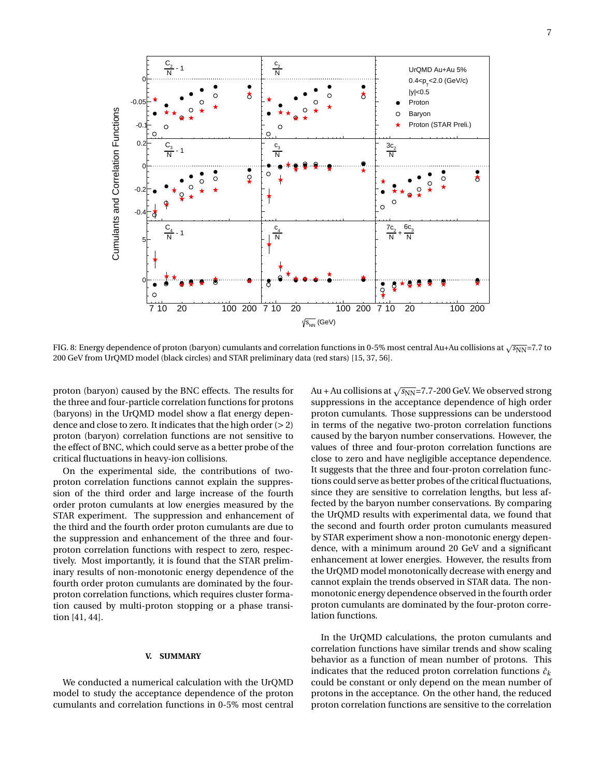<span id="page-6-0"></span>

FIG. 8: Energy dependence of proton (baryon) cumulants and correlation functions in 0-5% most central Au+Au collisions at  $\sqrt{s_\mathrm{NN}}$ =7.7 to 200 GeV from UrQMD model (black circles) and STAR preliminary data (red stars) [\[15,](#page-7-9) [37,](#page-7-12) [56\]](#page-8-0).

proton (baryon) caused by the BNC effects. The results for the three and four-particle correlation functions for protons (baryons) in the UrQMD model show a flat energy dependence and close to zero. It indicates that the high order  $(> 2)$ proton (baryon) correlation functions are not sensitive to the effect of BNC, which could serve as a better probe of the critical fluctuations in heavy-ion collisions.

On the experimental side, the contributions of twoproton correlation functions cannot explain the suppression of the third order and large increase of the fourth order proton cumulants at low energies measured by the STAR experiment. The suppression and enhancement of the third and the fourth order proton cumulants are due to the suppression and enhancement of the three and fourproton correlation functions with respect to zero, respectively. Most importantly, it is found that the STAR preliminary results of non-monotonic energy dependence of the fourth order proton cumulants are dominated by the fourproton correlation functions, which requires cluster formation caused by multi-proton stopping or a phase transition [\[41,](#page-7-17) [44\]](#page-7-20).

## **V. SUMMARY**

We conducted a numerical calculation with the UrQMD model to study the acceptance dependence of the proton cumulants and correlation functions in 0-5% most central

Au + Au collisions at  $\sqrt{s_\mathrm{NN}}$ =7.7-200 GeV. We observed strong suppressions in the acceptance dependence of high order proton cumulants. Those suppressions can be understood in terms of the negative two-proton correlation functions caused by the baryon number conservations. However, the values of three and four-proton correlation functions are close to zero and have negligible acceptance dependence. It suggests that the three and four-proton correlation functions could serve as better probes of the critical fluctuations, since they are sensitive to correlation lengths, but less affected by the baryon number conservations. By comparing the UrQMD results with experimental data, we found that the second and fourth order proton cumulants measured by STAR experiment show a non-monotonic energy dependence, with a minimum around 20 GeV and a significant enhancement at lower energies. However, the results from the UrQMD model monotonically decrease with energy and cannot explain the trends observed in STAR data. The nonmonotonic energy dependence observed in the fourth order proton cumulants are dominated by the four-proton correlation functions.

In the UrQMD calculations, the proton cumulants and correlation functions have similar trends and show scaling behavior as a function of mean number of protons. This indicates that the reduced proton correlation functions  $\hat{c}_k$ could be constant or only depend on the mean number of protons in the acceptance. On the other hand, the reduced proton correlation functions are sensitive to the correlation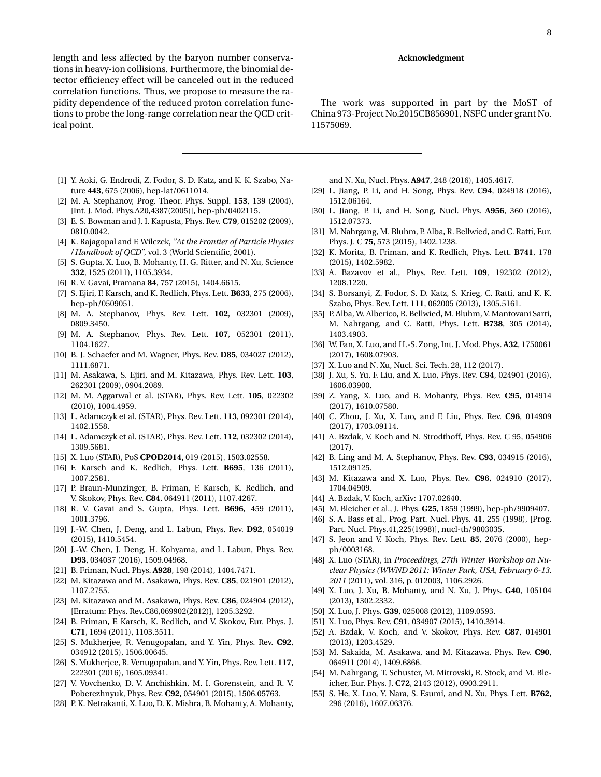length and less affected by the baryon number conservations in heavy-ion collisions. Furthermore, the binomial detector efficiency effect will be canceled out in the reduced correlation functions. Thus, we propose to measure the rapidity dependence of the reduced proton correlation functions to probe the long-range correlation near the QCD critical point.

- <span id="page-7-0"></span>[1] Y. Aoki, G. Endrodi, Z. Fodor, S. D. Katz, and K. K. Szabo, Nature **443**, 675 (2006), hep-lat/0611014.
- <span id="page-7-1"></span>[2] M. A. Stephanov, Prog. Theor. Phys. Suppl. **153**, 139 (2004), [Int. J. Mod. Phys.A20,4387(2005)], hep-ph/0402115.
- <span id="page-7-2"></span>[3] E. S. Bowman and J. I. Kapusta, Phys. Rev. **C79**, 015202 (2009), 0810.0042.
- <span id="page-7-3"></span>[4] K. Rajagopal and F. Wilczek, *"At the Frontier of Particle Physics / Handbook of QCD"*, vol. 3 (World Scientific, 2001).
- <span id="page-7-4"></span>[5] S. Gupta, X. Luo, B. Mohanty, H. G. Ritter, and N. Xu, Science **332**, 1525 (2011), 1105.3934.
- <span id="page-7-5"></span>[6] R. V. Gavai, Pramana **84**, 757 (2015), 1404.6615.
- <span id="page-7-6"></span>[7] S. Ejiri, F. Karsch, and K. Redlich, Phys. Lett. **B633**, 275 (2006), hep-ph/0509051.
- [8] M. A. Stephanov, Phys. Rev. Lett. **102**, 032301 (2009), 0809.3450.
- [9] M. A. Stephanov, Phys. Rev. Lett. **107**, 052301 (2011), 1104.1627.
- [10] B. J. Schaefer and M. Wagner, Phys. Rev. **D85**, 034027 (2012), 1111.6871.
- <span id="page-7-7"></span>[11] M. Asakawa, S. Ejiri, and M. Kitazawa, Phys. Rev. Lett. **103**, 262301 (2009), 0904.2089.
- <span id="page-7-8"></span>[12] M. M. Aggarwal et al. (STAR), Phys. Rev. Lett. **105**, 022302 (2010), 1004.4959.
- [13] L. Adamczyk et al. (STAR), Phys. Rev. Lett. **113**, 092301 (2014), 1402.1558.
- [14] L. Adamczyk et al. (STAR), Phys. Rev. Lett. **112**, 032302 (2014), 1309.5681.
- <span id="page-7-9"></span>[15] X. Luo (STAR), PoS **CPOD2014**, 019 (2015), 1503.02558.
- <span id="page-7-10"></span>[16] F. Karsch and K. Redlich, Phys. Lett. **B695**, 136 (2011), 1007.2581.
- [17] P. Braun-Munzinger, B. Friman, F. Karsch, K. Redlich, and V. Skokov, Phys. Rev. **C84**, 064911 (2011), 1107.4267.
- [18] R. V. Gavai and S. Gupta, Phys. Lett. **B696**, 459 (2011), 1001.3796.
- [19] J.-W. Chen, J. Deng, and L. Labun, Phys. Rev. **D92**, 054019 (2015), 1410.5454.
- [20] J.-W. Chen, J. Deng, H. Kohyama, and L. Labun, Phys. Rev. **D93**, 034037 (2016), 1509.04968.
- [21] B. Friman, Nucl. Phys. **A928**, 198 (2014), 1404.7471.
- <span id="page-7-13"></span>[22] M. Kitazawa and M. Asakawa, Phys. Rev. **C85**, 021901 (2012), 1107.2755.
- <span id="page-7-14"></span>[23] M. Kitazawa and M. Asakawa, Phys. Rev. **C86**, 024904 (2012), [Erratum: Phys. Rev.C86,069902(2012)], 1205.3292.
- [24] B. Friman, F. Karsch, K. Redlich, and V. Skokov, Eur. Phys. J. **C71**, 1694 (2011), 1103.3511.
- [25] S. Mukherjee, R. Venugopalan, and Y. Yin, Phys. Rev. **C92**, 034912 (2015), 1506.00645.
- [26] S. Mukherjee, R. Venugopalan, and Y. Yin, Phys. Rev. Lett. **117**, 222301 (2016), 1605.09341.
- [27] V. Vovchenko, D. V. Anchishkin, M. I. Gorenstein, and R. V. Poberezhnyuk, Phys. Rev. **C92**, 054901 (2015), 1506.05763.
- [28] P. K. Netrakanti, X. Luo, D. K. Mishra, B. Mohanty, A. Mohanty,

### **Acknowledgment**

The work was supported in part by the MoST of China 973-Project No.2015CB856901, NSFC under grant No. 11575069.

and N. Xu, Nucl. Phys. **A947**, 248 (2016), 1405.4617.

- [29] L. Jiang, P. Li, and H. Song, Phys. Rev. **C94**, 024918 (2016), 1512.06164.
- [30] L. Jiang, P. Li, and H. Song, Nucl. Phys. **A956**, 360 (2016), 1512.07373.
- [31] M. Nahrgang, M. Bluhm, P. Alba, R. Bellwied, and C. Ratti, Eur. Phys. J. C **75**, 573 (2015), 1402.1238.
- [32] K. Morita, B. Friman, and K. Redlich, Phys. Lett. **B741**, 178 (2015), 1402.5982.
- [33] A. Bazavov et al., Phys. Rev. Lett. **109**, 192302 (2012), 1208.1220.
- [34] S. Borsanyi, Z. Fodor, S. D. Katz, S. Krieg, C. Ratti, and K. K. Szabo, Phys. Rev. Lett. **111**, 062005 (2013), 1305.5161.
- [35] P. Alba, W. Alberico, R. Bellwied, M. Bluhm, V. Mantovani Sarti, M. Nahrgang, and C. Ratti, Phys. Lett. **B738**, 305 (2014), 1403.4903.
- <span id="page-7-11"></span>[36] W. Fan, X. Luo, and H.-S. Zong, Int. J. Mod. Phys. **A32**, 1750061 (2017), 1608.07903.
- <span id="page-7-12"></span>[37] X. Luo and N. Xu, Nucl. Sci. Tech. 28, 112 (2017).
- <span id="page-7-15"></span>[38] J. Xu, S. Yu, F. Liu, and X. Luo, Phys. Rev. **C94**, 024901 (2016), 1606.03900.
- [39] Z. Yang, X. Luo, and B. Mohanty, Phys. Rev. **C95**, 014914 (2017), 1610.07580.
- <span id="page-7-16"></span>[40] C. Zhou, J. Xu, X. Luo, and F. Liu, Phys. Rev. **C96**, 014909 (2017), 1703.09114.
- <span id="page-7-17"></span>[41] A. Bzdak, V. Koch and N. Strodthoff, Phys. Rev. C 95, 054906 (2017).
- <span id="page-7-18"></span>[42] B. Ling and M. A. Stephanov, Phys. Rev. **C93**, 034915 (2016), 1512.09125.
- <span id="page-7-19"></span>[43] M. Kitazawa and X. Luo, Phys. Rev. **C96**, 024910 (2017), 1704.04909.
- <span id="page-7-20"></span>[44] A. Bzdak, V. Koch, arXiv: 1707.02640.
- <span id="page-7-21"></span>[45] M. Bleicher et al., J. Phys. **G25**, 1859 (1999), hep-ph/9909407.
- <span id="page-7-22"></span>[46] S. A. Bass et al., Prog. Part. Nucl. Phys. **41**, 255 (1998), [Prog. Part. Nucl. Phys.41,225(1998)], nucl-th/9803035.
- <span id="page-7-23"></span>[47] S. Jeon and V. Koch, Phys. Rev. Lett. **85**, 2076 (2000), hepph/0003168.
- <span id="page-7-24"></span>[48] X. Luo (STAR), in *Proceedings, 27th Winter Workshop on Nuclear Physics (WWND 2011: Winter Park, USA, February 6-13. 2011* (2011), vol. 316, p. 012003, 1106.2926.
- <span id="page-7-25"></span>[49] X. Luo, J. Xu, B. Mohanty, and N. Xu, J. Phys. **G40**, 105104 (2013), 1302.2332.
- <span id="page-7-26"></span>[50] X. Luo, J. Phys. **G39**, 025008 (2012), 1109.0593.
- <span id="page-7-27"></span>[51] X. Luo, Phys. Rev. **C91**, 034907 (2015), 1410.3914.
- <span id="page-7-28"></span>[52] A. Bzdak, V. Koch, and V. Skokov, Phys. Rev. **C87**, 014901 (2013), 1203.4529.
- [53] M. Sakaida, M. Asakawa, and M. Kitazawa, Phys. Rev. **C90**, 064911 (2014), 1409.6866.
- [54] M. Nahrgang, T. Schuster, M. Mitrovski, R. Stock, and M. Bleicher, Eur. Phys. J. **C72**, 2143 (2012), 0903.2911.
- <span id="page-7-29"></span>[55] S. He, X. Luo, Y. Nara, S. Esumi, and N. Xu, Phys. Lett. **B762**, 296 (2016), 1607.06376.